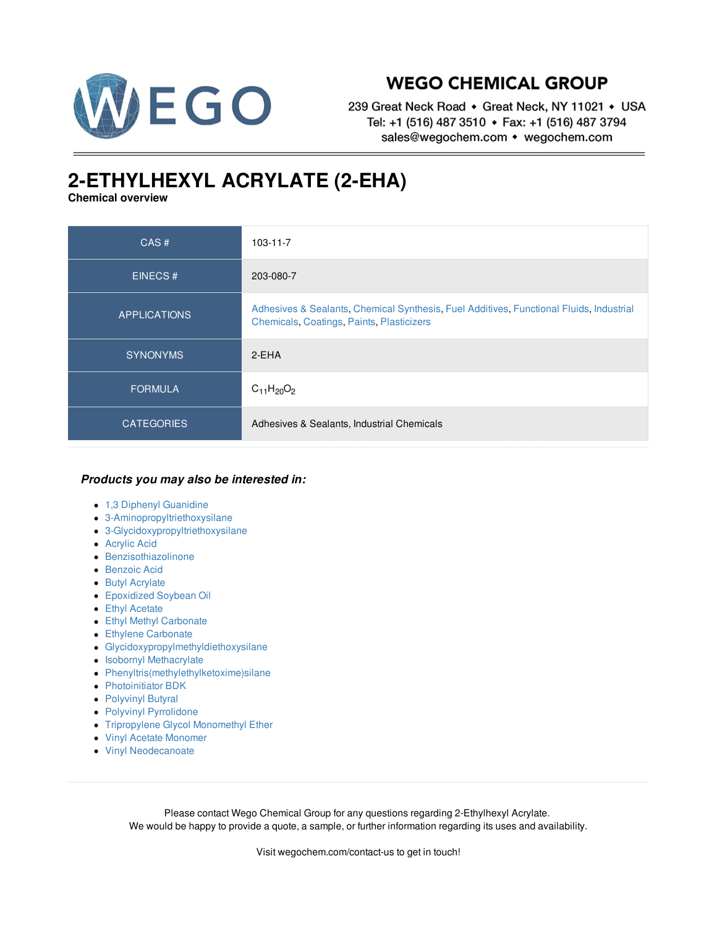

## **WEGO CHEMICAL GROUP**

239 Great Neck Road • Great Neck, NY 11021 • USA Tel: +1 (516) 487 3510 • Fax: +1 (516) 487 3794 sales@wegochem.com • wegochem.com

## **2-ETHYLHEXYL ACRYLATE (2-EHA)**

**Chemical overview**

| CAS#                | $103 - 11 - 7$                                                                                                                       |
|---------------------|--------------------------------------------------------------------------------------------------------------------------------------|
| <b>EINECS#</b>      | 203-080-7                                                                                                                            |
| <b>APPLICATIONS</b> | Adhesives & Sealants, Chemical Synthesis, Fuel Additives, Functional Fluids, Industrial<br>Chemicals, Coatings, Paints, Plasticizers |
| <b>SYNONYMS</b>     | 2-EHA                                                                                                                                |
| <b>FORMULA</b>      | $C_{11}H_{20}O_2$                                                                                                                    |
| <b>CATEGORIES</b>   | Adhesives & Sealants, Industrial Chemicals                                                                                           |

## *Products you may also be interested in:*

- 1,3 Diphenyl [Guanidine](/supplier-distributor/13-diphenyl-guanidine/3356/103-11-7)
- [3-Aminopropyltriethoxysilane](/supplier-distributor/3-aminopropyltriethoxysilane/3007/103-11-7)
- [3-Glycidoxypropyltriethoxysilane](/supplier-distributor/3-glycidoxypropyltriethoxysilane/3231/103-11-7)
- [Acrylic](/supplier-distributor/acrylic-acid/2366/103-11-7) Acid
- [Benzisothiazolinone](/supplier-distributor/benzisothiazolinone/3188/103-11-7)
- **[Benzoic](/supplier-distributor/benzoic-acid/2391/103-11-7) Acid**
- **Butyl [Acrylate](/supplier-distributor/butyl-acrylate/2405/103-11-7)**
- [Epoxidized](/supplier-distributor/epoxidized-soybean-oil/3209/103-11-7) Soybean Oil
- **Ethyl [Acetate](/supplier-distributor/ethyl-acetate/2494/103-11-7)**
- Ethyl Methyl [Carbonate](/supplier-distributor/ethyl-methyl-carbonate/2496/103-11-7)
- **Ethylene [Carbonate](/supplier-distributor/ethylene-carbonate/2498/103-11-7)**
- [Glycidoxypropylmethyldiethoxysilane](/supplier-distributor/glycidoxypropylmethyldiethoxysilane/3232/103-11-7)
- **Isobornyl [Methacrylate](/supplier-distributor/isobornyl-methacrylate/3187/103-11-7)**
- [Phenyltris\(methylethylketoxime\)silane](/supplier-distributor/phenyltrismethylethylketoximesilane/3233/103-11-7)
- [Photoinitiator](/supplier-distributor/photoinitiator-bdk/3277/103-11-7) BDK
- [Polyvinyl](/supplier-distributor/polyvinyl-butyral/3050/103-11-7) Butyral
- Polyvinyl [Pyrrolidone](/supplier-distributor/polyvinyl-pyrrolidone/2641/103-11-7)
- [Tripropylene](/supplier-distributor/tripropylene-glycol-monomethyl-ether/3045/103-11-7) Glycol Monomethyl Ether
- Vinyl Acetate [Monomer](/supplier-distributor/vinyl-acetate-monomer/2821/103-11-7)
- Vinyl [Neodecanoate](/supplier-distributor/vinyl-neodecanoate/3054/103-11-7)

Please contact Wego Chemical Group for any questions regarding 2-Ethylhexyl Acrylate. We would be happy to provide a quote, a sample, or further information regarding its uses and availability.